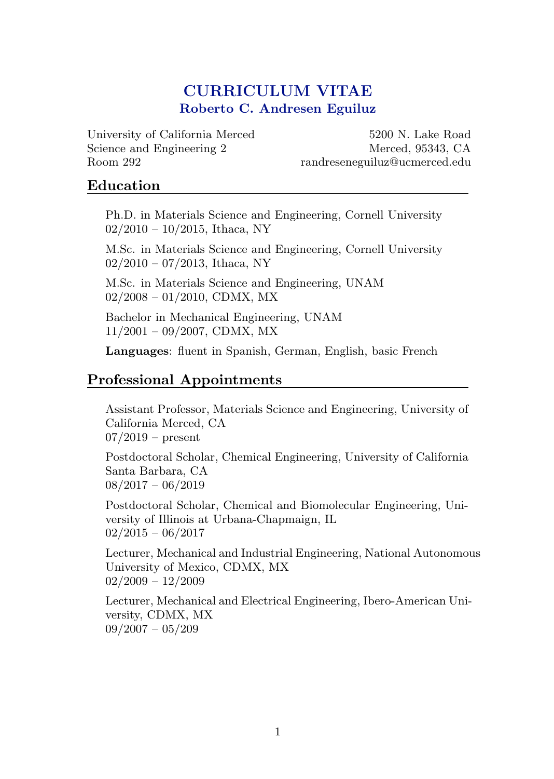# CURRICULUM VITAE Roberto C. Andresen Eguiluz

University of California Merced Science and Engineering 2 Room 292

5200 N. Lake Road Merced, 95343, CA randreseneguiluz@ucmerced.edu

### Education

Ph.D. in Materials Science and Engineering, Cornell University  $02/2010 - 10/2015$ , Ithaca, NY

M.Sc. in Materials Science and Engineering, Cornell University  $02/2010 - 07/2013$ , Ithaca, NY

M.Sc. in Materials Science and Engineering, UNAM  $02/2008 - 01/2010$ , CDMX, MX

Bachelor in Mechanical Engineering, UNAM 11/2001 – 09/2007, CDMX, MX

Languages: fluent in Spanish, German, English, basic French

## Professional Appointments

Assistant Professor, Materials Science and Engineering, University of California Merced, CA  $07/2019$  – present

Postdoctoral Scholar, Chemical Engineering, University of California Santa Barbara, CA  $08/2017 - 06/2019$ 

Postdoctoral Scholar, Chemical and Biomolecular Engineering, University of Illinois at Urbana-Chapmaign, IL  $02/2015 - 06/2017$ 

Lecturer, Mechanical and Industrial Engineering, National Autonomous University of Mexico, CDMX, MX  $02/2009 - 12/2009$ 

Lecturer, Mechanical and Electrical Engineering, Ibero-American University, CDMX, MX  $09/2007 - 05/209$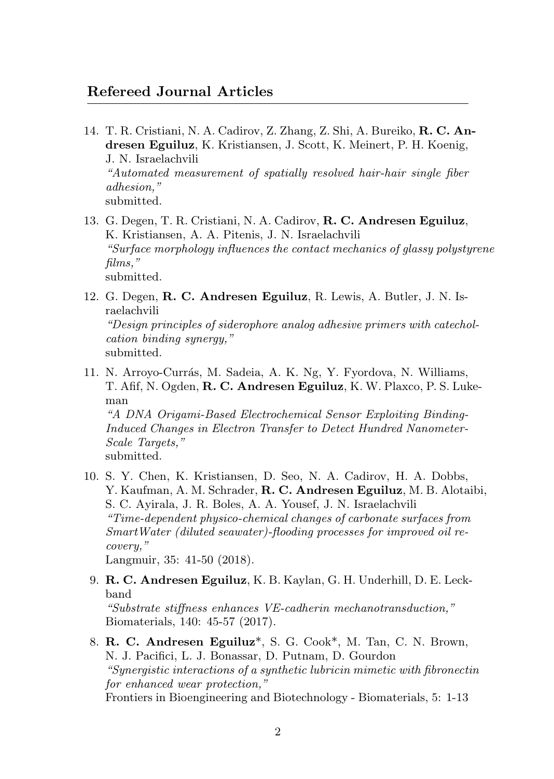## Refereed Journal Articles

- 14. T. R. Cristiani, N. A. Cadirov, Z. Zhang, Z. Shi, A. Bureiko, R. C. Andresen Eguiluz, K. Kristiansen, J. Scott, K. Meinert, P. H. Koenig, J. N. Israelachvili "Automated measurement of spatially resolved hair-hair single fiber adhesion," submitted.
- 13. G. Degen, T. R. Cristiani, N. A. Cadirov, R. C. Andresen Eguiluz, K. Kristiansen, A. A. Pitenis, J. N. Israelachvili "Surface morphology influences the contact mechanics of glassy polystyrene films," submitted.
- 12. G. Degen, R. C. Andresen Eguiluz, R. Lewis, A. Butler, J. N. Israelachvili "Design principles of siderophore analog adhesive primers with catecholcation binding synergy," submitted.
- 11. N. Arroyo-Currás, M. Sadeia, A. K. Ng, Y. Fyordova, N. Williams, T. Afif, N. Ogden, R. C. Andresen Eguiluz, K. W. Plaxco, P. S. Lukeman

"A DNA Origami-Based Electrochemical Sensor Exploiting Binding-Induced Changes in Electron Transfer to Detect Hundred Nanometer-Scale Targets."

submitted.

10. S. Y. Chen, K. Kristiansen, D. Seo, N. A. Cadirov, H. A. Dobbs, Y. Kaufman, A. M. Schrader, R. C. Andresen Eguiluz, M. B. Alotaibi, S. C. Ayirala, J. R. Boles, A. A. Yousef, J. N. Israelachvili "Time-dependent physico-chemical changes of carbonate surfaces from SmartWater (diluted seawater)-flooding processes for improved oil recovery," Langmuir, 35: 41-50 (2018).

9. R. C. Andresen Eguiluz, K. B. Kaylan, G. H. Underhill, D. E. Leck-

- band "Substrate stiffness enhances VE-cadherin mechanotransduction," Biomaterials, 140: 45-57 (2017).
- 8. R. C. Andresen Eguiluz\*, S. G. Cook\*, M. Tan, C. N. Brown, N. J. Pacifici, L. J. Bonassar, D. Putnam, D. Gourdon "Synergistic interactions of a synthetic lubricin mimetic with fibronectin for enhanced wear protection," Frontiers in Bioengineering and Biotechnology - Biomaterials, 5: 1-13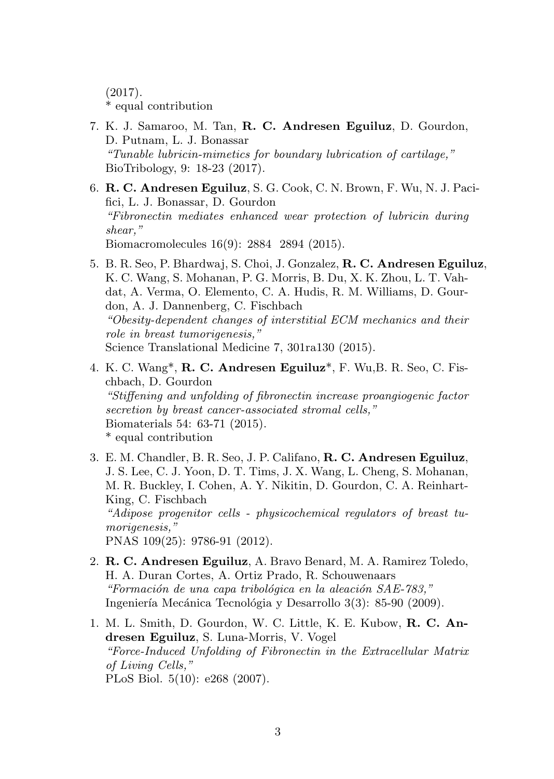(2017). \* equal contribution

- 7. K. J. Samaroo, M. Tan, R. C. Andresen Eguiluz, D. Gourdon, D. Putnam, L. J. Bonassar "Tunable lubricin-mimetics for boundary lubrication of cartilage," BioTribology, 9: 18-23 (2017).
- 6. R. C. Andresen Eguiluz, S. G. Cook, C. N. Brown, F. Wu, N. J. Pacifici, L. J. Bonassar, D. Gourdon "Fibronectin mediates enhanced wear protection of lubricin during shear," Biomacromolecules 16(9): 2884 2894 (2015).
- 5. B. R. Seo, P. Bhardwaj, S. Choi, J. Gonzalez, R. C. Andresen Eguiluz, K. C. Wang, S. Mohanan, P. G. Morris, B. Du, X. K. Zhou, L. T. Vahdat, A. Verma, O. Elemento, C. A. Hudis, R. M. Williams, D. Gourdon, A. J. Dannenberg, C. Fischbach "Obesity-dependent changes of interstitial ECM mechanics and their role in breast tumorigenesis," Science Translational Medicine 7, 301ra130 (2015).
- 4. K. C. Wang\*, R. C. Andresen Eguiluz\*, F. Wu,B. R. Seo, C. Fischbach, D. Gourdon "Stiffening and unfolding of fibronectin increase proangiogenic factor secretion by breast cancer-associated stromal cells," Biomaterials 54: 63-71 (2015). \* equal contribution
- 3. E. M. Chandler, B. R. Seo, J. P. Califano, R. C. Andresen Eguiluz, J. S. Lee, C. J. Yoon, D. T. Tims, J. X. Wang, L. Cheng, S. Mohanan, M. R. Buckley, I. Cohen, A. Y. Nikitin, D. Gourdon, C. A. Reinhart-King, C. Fischbach "Adipose progenitor cells - physicochemical regulators of breast tumorigenesis," PNAS 109(25): 9786-91 (2012).
- 2. R. C. Andresen Eguiluz, A. Bravo Benard, M. A. Ramirez Toledo, H. A. Duran Cortes, A. Ortiz Prado, R. Schouwenaars "Formación de una capa tribológica en la aleación  $SAE-783$ ," Ingeniería Mecánica Tecnológia y Desarrollo 3(3): 85-90 (2009).
- 1. M. L. Smith, D. Gourdon, W. C. Little, K. E. Kubow, R. C. Andresen Eguiluz, S. Luna-Morris, V. Vogel "Force-Induced Unfolding of Fibronectin in the Extracellular Matrix of Living Cells," PLoS Biol. 5(10): e268 (2007).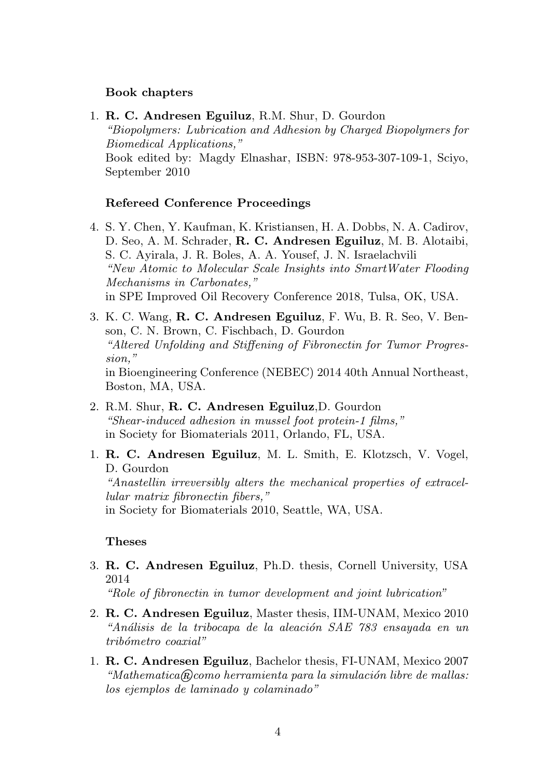#### Book chapters

1. R. C. Andresen Eguiluz, R.M. Shur, D. Gourdon "Biopolymers: Lubrication and Adhesion by Charged Biopolymers for Biomedical Applications," Book edited by: Magdy Elnashar, ISBN: 978-953-307-109-1, Sciyo, September 2010

### Refereed Conference Proceedings

- 4. S. Y. Chen, Y. Kaufman, K. Kristiansen, H. A. Dobbs, N. A. Cadirov, D. Seo, A. M. Schrader, R. C. Andresen Eguiluz, M. B. Alotaibi, S. C. Ayirala, J. R. Boles, A. A. Yousef, J. N. Israelachvili "New Atomic to Molecular Scale Insights into SmartWater Flooding Mechanisms in Carbonates," in SPE Improved Oil Recovery Conference 2018, Tulsa, OK, USA.
- 3. K. C. Wang, R. C. Andresen Eguiluz, F. Wu, B. R. Seo, V. Benson, C. N. Brown, C. Fischbach, D. Gourdon "Altered Unfolding and Stiffening of Fibronectin for Tumor Progression," in Bioengineering Conference (NEBEC) 2014 40th Annual Northeast, Boston, MA, USA.
- 2. R.M. Shur, R. C. Andresen Eguiluz,D. Gourdon "Shear-induced adhesion in mussel foot protein-1 films," in Society for Biomaterials 2011, Orlando, FL, USA.
- 1. R. C. Andresen Eguiluz, M. L. Smith, E. Klotzsch, V. Vogel, D. Gourdon "Anastellin irreversibly alters the mechanical properties of extracellular matrix fibronectin fibers," in Society for Biomaterials 2010, Seattle, WA, USA.

#### Theses

3. R. C. Andresen Eguiluz, Ph.D. thesis, Cornell University, USA 2014

"Role of fibronectin in tumor development and joint lubrication"

- 2. R. C. Andresen Eguiluz, Master thesis, IIM-UNAM, Mexico 2010 "Análisis de la tribocapa de la aleación SAE 783 ensayada en un  $tribómetro\ coaxial"$
- 1. R. C. Andresen Eguiluz, Bachelor thesis, FI-UNAM, Mexico 2007 "Mathematica $\mathcal{R}$ como herramienta para la simulación libre de mallas: los ejemplos de laminado y colaminado"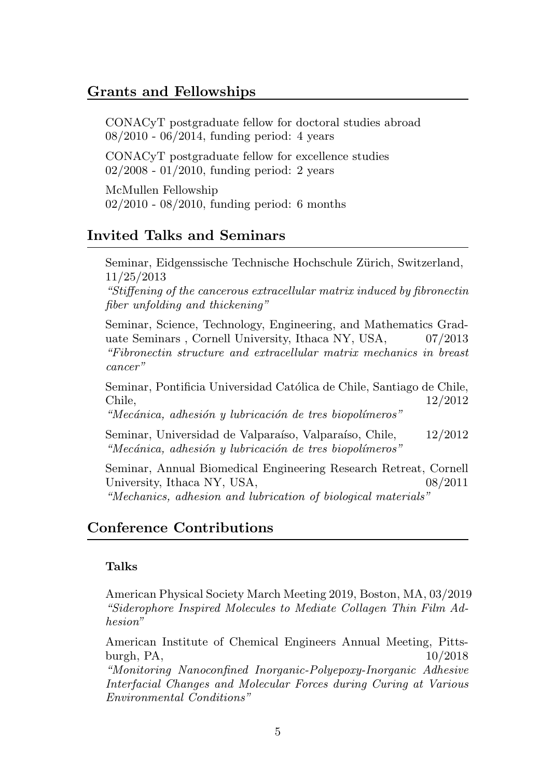### Grants and Fellowships

CONACyT postgraduate fellow for doctoral studies abroad 08/2010 - 06/2014, funding period: 4 years

CONACyT postgraduate fellow for excellence studies 02/2008 - 01/2010, funding period: 2 years

McMullen Fellowship 02/2010 - 08/2010, funding period: 6 months

## Invited Talks and Seminars

Seminar, Eidgenssische Technische Hochschule Zürich, Switzerland, 11/25/2013

"Stiffening of the cancerous extracellular matrix induced by fibronectin fiber unfolding and thickening"

Seminar, Science, Technology, Engineering, and Mathematics Graduate Seminars , Cornell University, Ithaca NY, USA, 07/2013 "Fibronectin structure and extracellular matrix mechanics in breast cancer"

Seminar, Pontificia Universidad Católica de Chile, Santiago de Chile, Chile, 12/2012

"Mecánica, adhesión y lubricación de tres biopolímeros"

Seminar, Universidad de Valparaíso, Valparaíso, Chile, 12/2012 "Mecánica, adhesión y lubricación de tres biopolímeros"

Seminar, Annual Biomedical Engineering Research Retreat, Cornell University, Ithaca NY, USA,  $08/2011$ 

"Mechanics, adhesion and lubrication of biological materials"

## Conference Contributions

### Talks

American Physical Society March Meeting 2019, Boston, MA, 03/2019 "Siderophore Inspired Molecules to Mediate Collagen Thin Film Adhesion"

American Institute of Chemical Engineers Annual Meeting, Pittsburgh, PA, 10/2018

"Monitoring Nanoconfined Inorganic-Polyepoxy-Inorganic Adhesive Interfacial Changes and Molecular Forces during Curing at Various Environmental Conditions"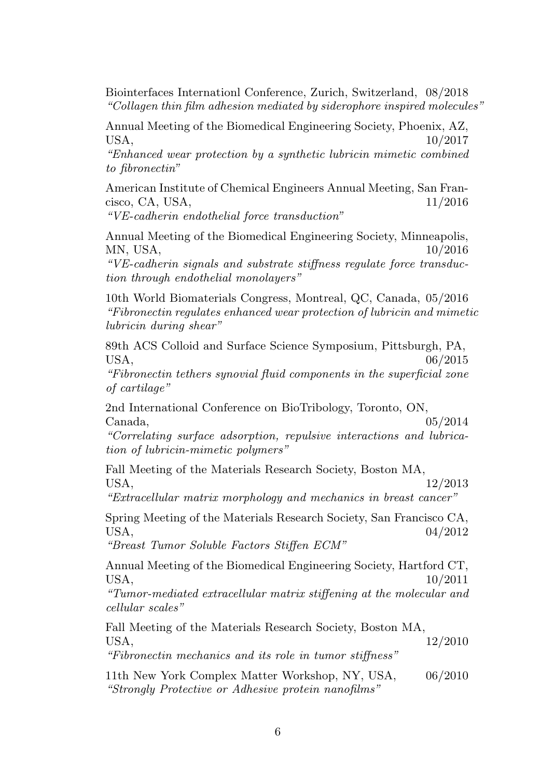Biointerfaces Internationl Conference, Zurich, Switzerland, 08/2018 "Collagen thin film adhesion mediated by siderophore inspired molecules"

Annual Meeting of the Biomedical Engineering Society, Phoenix, AZ, USA,  $10/2017$ 

"Enhanced wear protection by a synthetic lubricin mimetic combined to fibronectin"

American Institute of Chemical Engineers Annual Meeting, San Francisco, CA, USA, 11/2016

"VE-cadherin endothelial force transduction"

Annual Meeting of the Biomedical Engineering Society, Minneapolis, MN, USA, 10/2016

"VE-cadherin signals and substrate stiffness regulate force transduction through endothelial monolayers"

10th World Biomaterials Congress, Montreal, QC, Canada, 05/2016 "Fibronectin regulates enhanced wear protection of lubricin and mimetic lubricin during shear"

89th ACS Colloid and Surface Science Symposium, Pittsburgh, PA, USA,  $06/2015$ 

"Fibronectin tethers synovial fluid components in the superficial zone of cartilage"

2nd International Conference on BioTribology, Toronto, ON,  $\text{Canada}, \quad 05/2014$ 

"Correlating surface adsorption, repulsive interactions and lubrication of lubricin-mimetic polymers"

Fall Meeting of the Materials Research Society, Boston MA, USA, 12/2013

"Extracellular matrix morphology and mechanics in breast cancer"

Spring Meeting of the Materials Research Society, San Francisco CA, USA, 04/2012

"Breast Tumor Soluble Factors Stiffen ECM"

Annual Meeting of the Biomedical Engineering Society, Hartford CT, USA,  $10/2011$ 

"Tumor-mediated extracellular matrix stiffening at the molecular and cellular scales"

Fall Meeting of the Materials Research Society, Boston MA, USA, 12/2010

"Fibronectin mechanics and its role in tumor stiffness"

11th New York Complex Matter Workshop, NY, USA, 06/2010 "Strongly Protective or Adhesive protein nanofilms"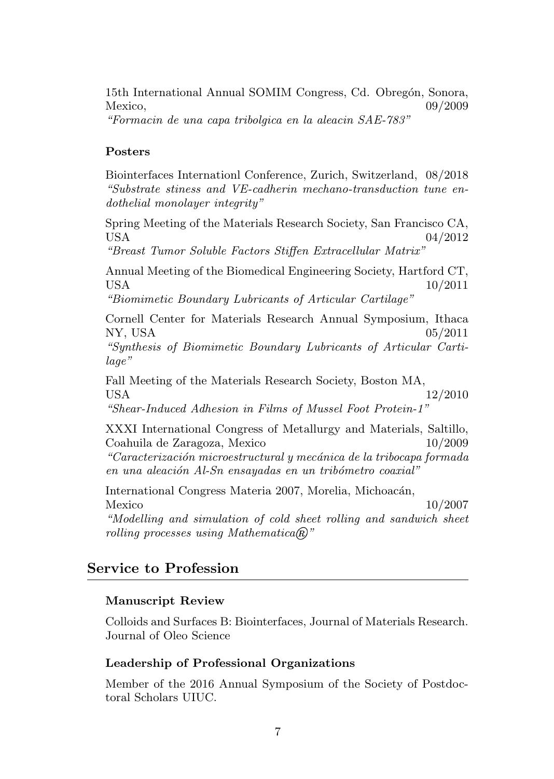15th International Annual SOMIM Congress, Cd. Obregón, Sonora,  $Mexico,$  09/2009

"Formacin de una capa tribolgica en la aleacin SAE-783"

### Posters

Biointerfaces Internationl Conference, Zurich, Switzerland, 08/2018 "Substrate stiness and VE-cadherin mechano-transduction tune endothelial monolayer integrity"

Spring Meeting of the Materials Research Society, San Francisco CA, USA  $04/2012$ 

"Breast Tumor Soluble Factors Stiffen Extracellular Matrix"

Annual Meeting of the Biomedical Engineering Society, Hartford CT, USA  $10/2011$ 

"Biomimetic Boundary Lubricants of Articular Cartilage"

Cornell Center for Materials Research Annual Symposium, Ithaca NY, USA 05/2011

"Synthesis of Biomimetic Boundary Lubricants of Articular Cartilage"

Fall Meeting of the Materials Research Society, Boston MA, USA 12/2010 "Shear-Induced Adhesion in Films of Mussel Foot Protein-1"

XXXI International Congress of Metallurgy and Materials, Saltillo, Coahuila de Zaragoza, Mexico 10/2009 "Caracterización microestructural y mecánica de la tribocapa formada en una aleación Al-Sn ensayadas en un tribómetro coaxial"

International Congress Materia 2007, Morelia, Michoacán, Mexico  $10/2007$ "Modelling and simulation of cold sheet rolling and sandwich sheet rolling processes using Mathematica $\mathbb{R}$ "

## Service to Profession

### Manuscript Review

Colloids and Surfaces B: Biointerfaces, Journal of Materials Research. Journal of Oleo Science

### Leadership of Professional Organizations

Member of the 2016 Annual Symposium of the Society of Postdoctoral Scholars UIUC.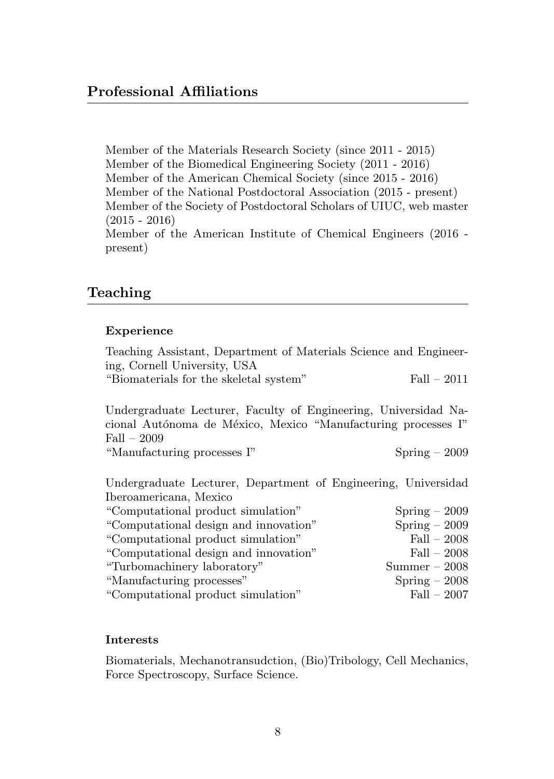Member of the Materials Research Society (since 2011 - 2015) Member of the Biomedical Engineering Society (2011 - 2016) Member of the American Chemical Society (since 2015 - 2016) Member of the National Postdoctoral Association (2015 - present) Member of the Society of Postdoctoral Scholars of UIUC, web master (2015 - 2016) Member of the American Institute of Chemical Engineers (2016 present)

## Teaching

### Experience

Teaching Assistant, Department of Materials Science and Engineering, Cornell University, USA "Biomaterials for the skeletal system" Fall – 2011

Undergraduate Lecturer, Faculty of Engineering, Universidad Nacional Autónoma de México, Mexico "Manufacturing processes I" Fall – 2009 "Manufacturing processes I" Spring – 2009

Undergraduate Lecturer, Department of Engineering, Universidad

| Iberoamericana, Mexico                |                 |
|---------------------------------------|-----------------|
| "Computational product simulation"    | $Spring - 2009$ |
| "Computational design and innovation" | $Spring - 2009$ |
| "Computational product simulation"    | $Fall - 2008$   |
| "Computational design and innovation" | $Fall - 2008$   |
| "Turbomachinery laboratory"           | $Summer - 2008$ |
| "Manufacturing processes"             | $Spring - 2008$ |
| "Computational product simulation"    | $Fall - 2007$   |
|                                       |                 |

### Interests

Biomaterials, Mechanotransudction, (Bio)Tribology, Cell Mechanics, Force Spectroscopy, Surface Science.